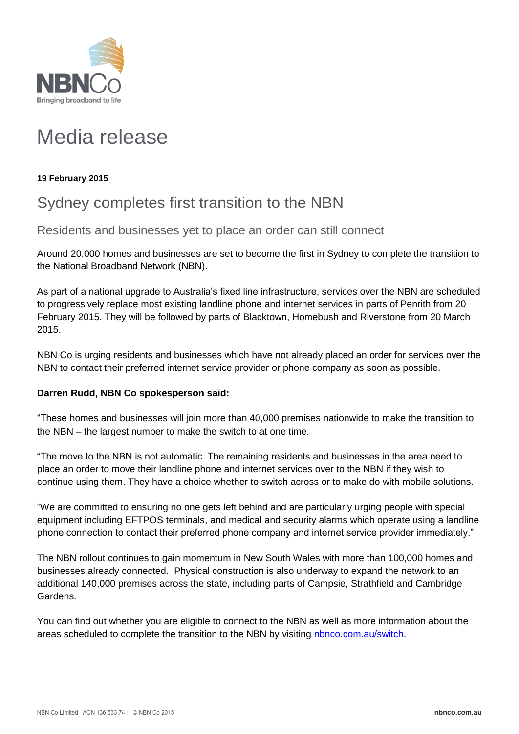

# Media release

## **19 February 2015**

# Sydney completes first transition to the NBN

Residents and businesses yet to place an order can still connect

Around 20,000 homes and businesses are set to become the first in Sydney to complete the transition to the National Broadband Network (NBN).

As part of a national upgrade to Australia's fixed line infrastructure, services over the NBN are scheduled to progressively replace most existing landline phone and internet services in parts of Penrith from 20 February 2015. They will be followed by parts of Blacktown, Homebush and Riverstone from 20 March 2015.

NBN Co is urging residents and businesses which have not already placed an order for services over the NBN to contact their preferred internet service provider or phone company as soon as possible.

### **Darren Rudd, NBN Co spokesperson said:**

"These homes and businesses will join more than 40,000 premises nationwide to make the transition to the NBN – the largest number to make the switch to at one time.

"The move to the NBN is not automatic. The remaining residents and businesses in the area need to place an order to move their landline phone and internet services over to the NBN if they wish to continue using them. They have a choice whether to switch across or to make do with mobile solutions.

"We are committed to ensuring no one gets left behind and are particularly urging people with special equipment including EFTPOS terminals, and medical and security alarms which operate using a landline phone connection to contact their preferred phone company and internet service provider immediately."

The NBN rollout continues to gain momentum in New South Wales with more than 100,000 homes and businesses already connected. Physical construction is also underway to expand the network to an additional 140,000 premises across the state, including parts of Campsie, Strathfield and Cambridge Gardens.

You can find out whether you are eligible to connect to the NBN as well as more information about the areas scheduled to complete the transition to the NBN by visiting [nbnco.com.au/switch.](http://www.nbnco.com.au/switch)